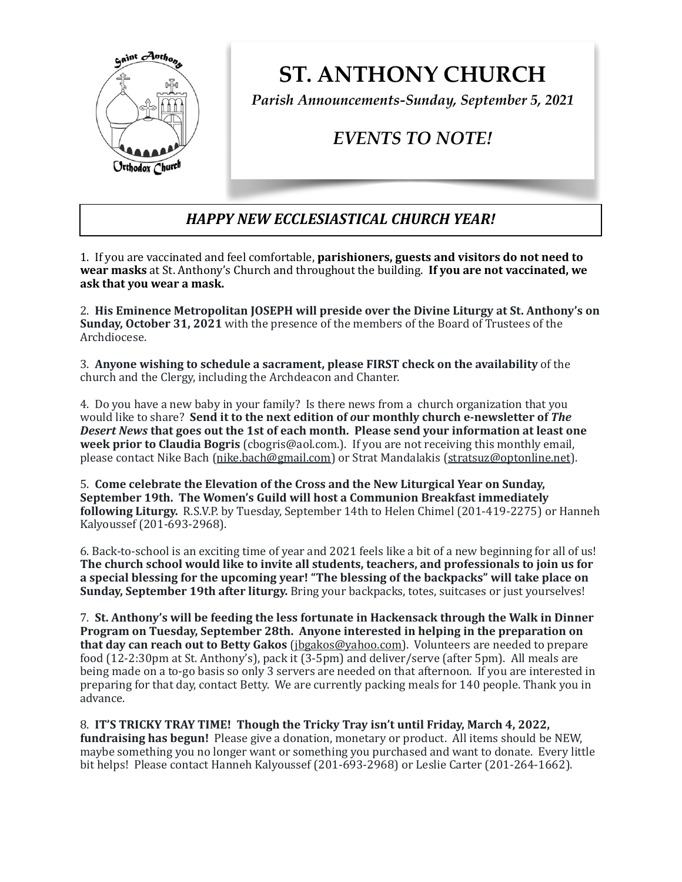

**ST. ANTHONY CHURCH** 

*Parish Announcements-Sunday, September 5, 2021*

## *EVENTS TO NOTE!*

## *HAPPY NEW ECCLESIASTICAL CHURCH YEAR!*

1. If you are vaccinated and feel comfortable, **parishioners, guests and visitors do not need to wear masks** at St. Anthony's Church and throughout the building. **If you are not vaccinated, we** ask that you wear a mask.

2. His Eminence Metropolitan JOSEPH will preside over the Divine Liturgy at St. Anthony's on **Sunday, October 31, 2021** with the presence of the members of the Board of Trustees of the Archdiocese. 

3. Anyone wishing to schedule a sacrament, please FIRST check on the availability of the church and the Clergy, including the Archdeacon and Chanter.

4. Do you have a new baby in your family? Is there news from a church organization that you would like to share? Send it to the next edition of our monthly church e-newsletter of The **Desert News that goes out the 1st of each month. Please send your information at least one week prior to Claudia Bogris** (cbogris@aol.com.). If you are not receiving this monthly email, please contact Nike Bach ([nike.bach@gmail.com](mailto:nike.bach@gmail.com)) or Strat Mandalakis [\(stratsuz@optonline.net](mailto:stratsuz@optonline.net)).

5. Come celebrate the Elevation of the Cross and the New Liturgical Year on Sunday, **September 19th. The Women's Guild will host a Communion Breakfast immediately following Liturgy.** R.S.V.P. by Tuesday, September 14th to Helen Chimel (201-419-2275) or Hanneh Kalyoussef (201-693-2968).

6. Back-to-school is an exciting time of year and 2021 feels like a bit of a new beginning for all of us! The church school would like to invite all students, teachers, and professionals to join us for a special blessing for the upcoming year! "The blessing of the backpacks" will take place on **Sunday, September 19th after liturgy.** Bring your backpacks, totes, suitcases or just yourselves!

7. St. Anthony's will be feeding the less fortunate in Hackensack through the Walk in Dinner **Program on Tuesday, September 28th. Anyone interested in helping in the preparation on that day can reach out to Betty Gakos** ( $jbgakos@yahooo.com$ ). Volunteers are needed to prepare food (12-2:30pm at St. Anthony's), pack it (3-5pm) and deliver/serve (after 5pm). All meals are being made on a to-go basis so only 3 servers are needed on that afternoon. If you are interested in preparing for that day, contact Betty. We are currently packing meals for 140 people. Thank you in advance. 

8. **IT'S TRICKY TRAY TIME!** Though the Tricky Tray isn't until Friday, March 4, 2022, **fundraising has begun!** Please give a donation, monetary or product. All items should be NEW, maybe something you no longer want or something you purchased and want to donate. Every little bit helps! Please contact Hanneh Kalyoussef (201-693-2968) or Leslie Carter (201-264-1662).